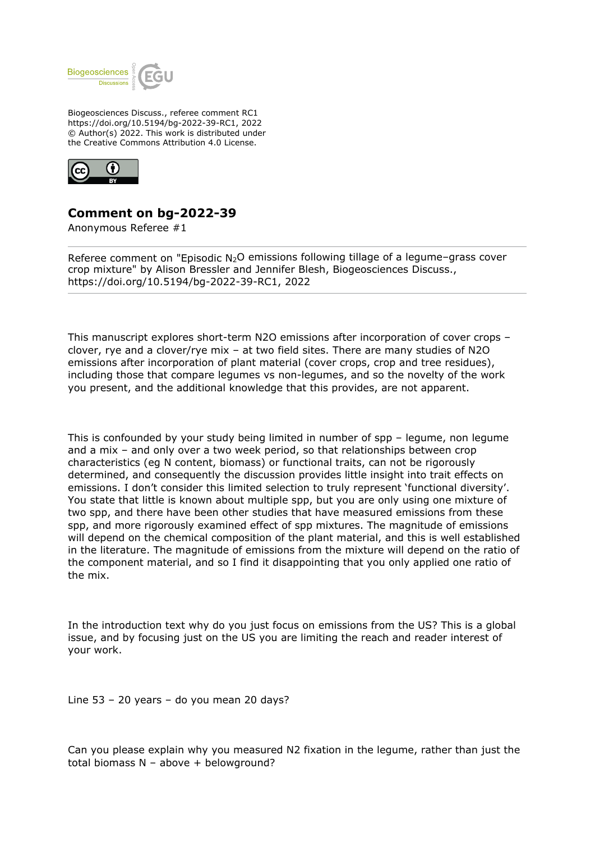

Biogeosciences Discuss., referee comment RC1 https://doi.org/10.5194/bg-2022-39-RC1, 2022 © Author(s) 2022. This work is distributed under the Creative Commons Attribution 4.0 License.



## **Comment on bg-2022-39**

Anonymous Referee #1

Referee comment on "Episodic N<sub>2</sub>O emissions following tillage of a legume-grass cover crop mixture" by Alison Bressler and Jennifer Blesh, Biogeosciences Discuss., https://doi.org/10.5194/bg-2022-39-RC1, 2022

This manuscript explores short-term N2O emissions after incorporation of cover crops – clover, rye and a clover/rye mix – at two field sites. There are many studies of N2O emissions after incorporation of plant material (cover crops, crop and tree residues), including those that compare legumes vs non-legumes, and so the novelty of the work you present, and the additional knowledge that this provides, are not apparent.

This is confounded by your study being limited in number of spp – legume, non legume and a mix – and only over a two week period, so that relationships between crop characteristics (eg N content, biomass) or functional traits, can not be rigorously determined, and consequently the discussion provides little insight into trait effects on emissions. I don't consider this limited selection to truly represent 'functional diversity'. You state that little is known about multiple spp, but you are only using one mixture of two spp, and there have been other studies that have measured emissions from these spp, and more rigorously examined effect of spp mixtures. The magnitude of emissions will depend on the chemical composition of the plant material, and this is well established in the literature. The magnitude of emissions from the mixture will depend on the ratio of the component material, and so I find it disappointing that you only applied one ratio of the mix.

In the introduction text why do you just focus on emissions from the US? This is a global issue, and by focusing just on the US you are limiting the reach and reader interest of your work.

Line 53 – 20 years – do you mean 20 days?

Can you please explain why you measured N2 fixation in the legume, rather than just the total biomass N – above + belowground?